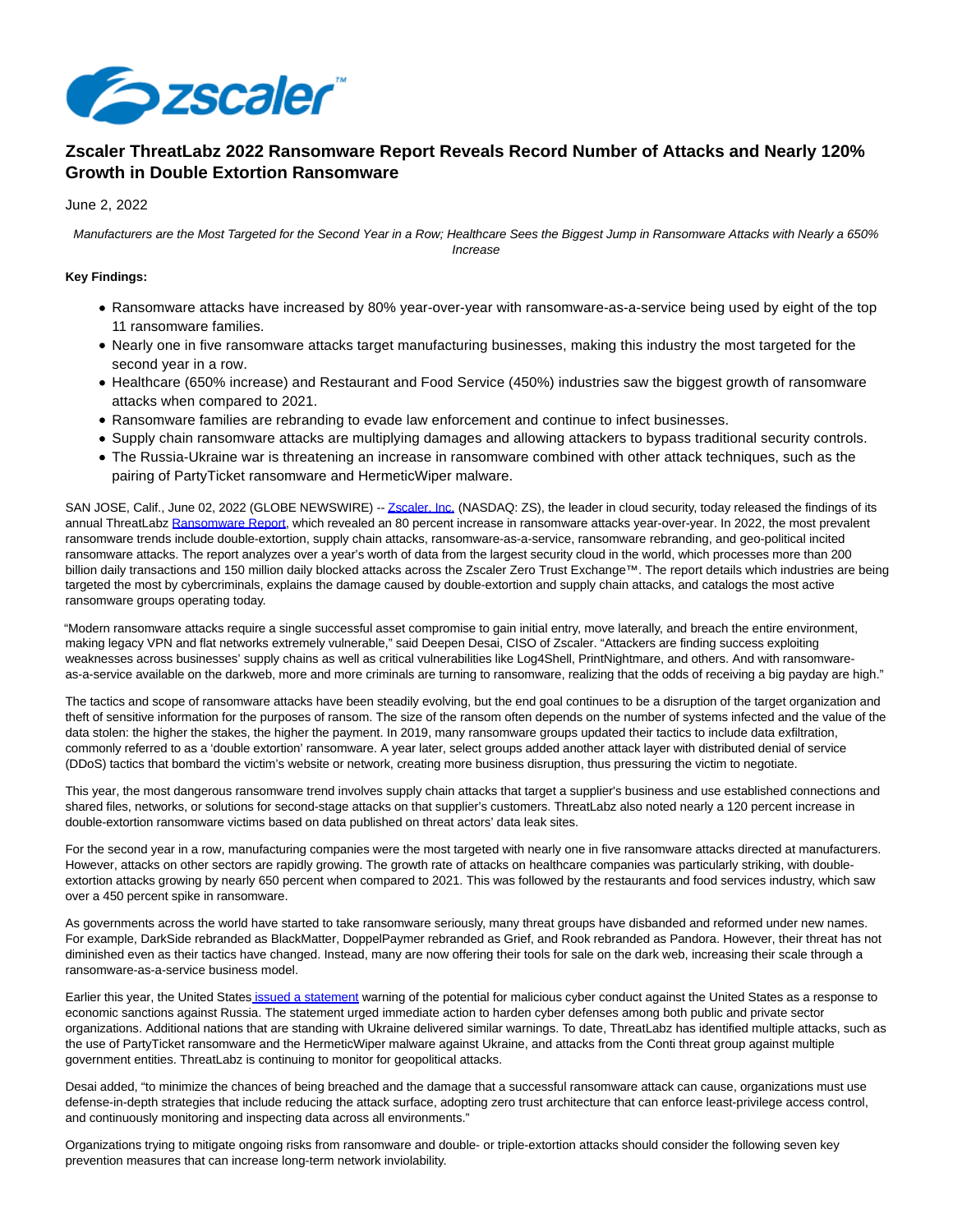

# **Zscaler ThreatLabz 2022 Ransomware Report Reveals Record Number of Attacks and Nearly 120% Growth in Double Extortion Ransomware**

June 2, 2022

Manufacturers are the Most Targeted for the Second Year in a Row; Healthcare Sees the Biggest Jump in Ransomware Attacks with Nearly a 650% Increase

## **Key Findings:**

- Ransomware attacks have increased by 80% year-over-year with ransomware-as-a-service being used by eight of the top 11 ransomware families.
- Nearly one in five ransomware attacks target manufacturing businesses, making this industry the most targeted for the second year in a row.
- Healthcare (650% increase) and Restaurant and Food Service (450%) industries saw the biggest growth of ransomware attacks when compared to 2021.
- Ransomware families are rebranding to evade law enforcement and continue to infect businesses.
- Supply chain ransomware attacks are multiplying damages and allowing attackers to bypass traditional security controls.
- The Russia-Ukraine war is threatening an increase in ransomware combined with other attack techniques, such as the pairing of PartyTicket ransomware and HermeticWiper malware.

SAN JOSE, Calif., June 02, 2022 (GLOBE NEWSWIRE) -[- Zscaler, Inc. \(](https://www.globenewswire.com/Tracker?data=ORJ_AJ4-68FQPtWwUhP4jR6_5M4agfuslvDPY86Ff1xQYmvp0g8rmLKRyPAp5x0QsDzs-M8-C96ofZ7s8P5klQ==)NASDAQ: ZS), the leader in cloud security, today released the findings of its annual ThreatLab[z Ransomware Report,](https://www.globenewswire.com/Tracker?data=enjnwBvYVNsjA8mP9ZU_W8Y7GJhiJQQUwo_dwEK9kpfwEdsIc3856WUg3xanLJO2-3IFwVQRsmjYlXEureh2YerO-kIcNE38nwTo4PjRDnmTNdMTiQzmt-WSEmQtXXogeJVJgcYLigOEmrawOV4fMuVT4cnTad5823lIKvjjeTw=) which revealed an 80 percent increase in ransomware attacks year-over-year. In 2022, the most prevalent ransomware trends include double-extortion, supply chain attacks, ransomware-as-a-service, ransomware rebranding, and geo-political incited ransomware attacks. The report analyzes over a year's worth of data from the largest security cloud in the world, which processes more than 200 billion daily transactions and 150 million daily blocked attacks across the Zscaler Zero Trust Exchange™. The report details which industries are being targeted the most by cybercriminals, explains the damage caused by double-extortion and supply chain attacks, and catalogs the most active ransomware groups operating today.

"Modern ransomware attacks require a single successful asset compromise to gain initial entry, move laterally, and breach the entire environment, making legacy VPN and flat networks extremely vulnerable," said Deepen Desai, CISO of Zscaler. "Attackers are finding success exploiting weaknesses across businesses' supply chains as well as critical vulnerabilities like Log4Shell, PrintNightmare, and others. And with ransomwareas-a-service available on the darkweb, more and more criminals are turning to ransomware, realizing that the odds of receiving a big payday are high."

The tactics and scope of ransomware attacks have been steadily evolving, but the end goal continues to be a disruption of the target organization and theft of sensitive information for the purposes of ransom. The size of the ransom often depends on the number of systems infected and the value of the data stolen: the higher the stakes, the higher the payment. In 2019, many ransomware groups updated their tactics to include data exfiltration, commonly referred to as a 'double extortion' ransomware. A year later, select groups added another attack layer with distributed denial of service (DDoS) tactics that bombard the victim's website or network, creating more business disruption, thus pressuring the victim to negotiate.

This year, the most dangerous ransomware trend involves supply chain attacks that target a supplier's business and use established connections and shared files, networks, or solutions for second-stage attacks on that supplier's customers. ThreatLabz also noted nearly a 120 percent increase in double-extortion ransomware victims based on data published on threat actors' data leak sites.

For the second year in a row, manufacturing companies were the most targeted with nearly one in five ransomware attacks directed at manufacturers. However, attacks on other sectors are rapidly growing. The growth rate of attacks on healthcare companies was particularly striking, with doubleextortion attacks growing by nearly 650 percent when compared to 2021. This was followed by the restaurants and food services industry, which saw over a 450 percent spike in ransomware.

As governments across the world have started to take ransomware seriously, many threat groups have disbanded and reformed under new names. For example, DarkSide rebranded as BlackMatter, DoppelPaymer rebranded as Grief, and Rook rebranded as Pandora. However, their threat has not diminished even as their tactics have changed. Instead, many are now offering their tools for sale on the dark web, increasing their scale through a ransomware-as-a-service business model.

Earlier this year, the United States [issued a statement w](https://www.globenewswire.com/Tracker?data=9q3wzinoP-z7SFM7KLDTSHYQ08M2Pg9JI_X_m2EdjHYBL8hK2KoubHr67ZE0YL2KezEKgFcRtE92-gOXMf5L5qZU5Wxf-rIM912eArzuWMpZKSzQ3QchPiA72Z8mVBMFqtob9k3c1sMeFlcw8q1Mjdk9tzP1jzdY73S5aMIiq2K4eIIRlbU5YtASRMPh-Cqdl2JDv1geFxu95s-1nIHj2YtK-uauI5t3pRJM22TuzHU=)arning of the potential for malicious cyber conduct against the United States as a response to economic sanctions against Russia. The statement urged immediate action to harden cyber defenses among both public and private sector organizations. Additional nations that are standing with Ukraine delivered similar warnings. To date, ThreatLabz has identified multiple attacks, such as the use of PartyTicket ransomware and the HermeticWiper malware against Ukraine, and attacks from the Conti threat group against multiple government entities. ThreatLabz is continuing to monitor for geopolitical attacks.

Desai added, "to minimize the chances of being breached and the damage that a successful ransomware attack can cause, organizations must use defense-in-depth strategies that include reducing the attack surface, adopting zero trust architecture that can enforce least-privilege access control, and continuously monitoring and inspecting data across all environments."

Organizations trying to mitigate ongoing risks from ransomware and double- or triple-extortion attacks should consider the following seven key prevention measures that can increase long-term network inviolability.